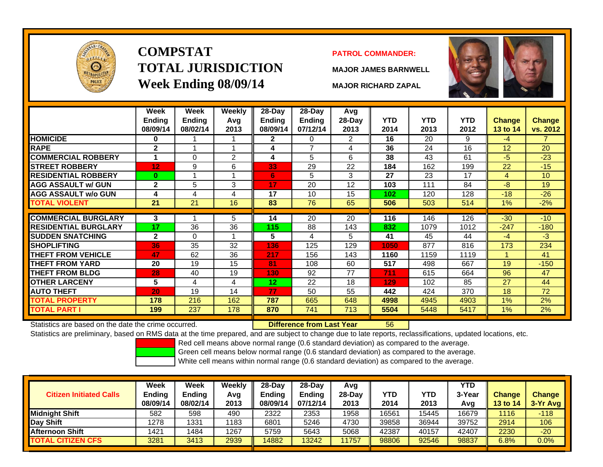

# **COMPSTATTOTAL JURISDICTIONWeek Ending 08/09/14 MAJOR RICHARD ZAPAL**

#### **PATROL COMMANDER:**

**MAJOR JAMES BARNWELL**



|                                                      | Week<br>Ending<br>08/09/14 | Week<br>Ending<br>08/02/14 | <b>Weekly</b><br>Avq<br>2013 | $28-Day$<br><b>Ending</b><br>08/09/14 | $28$ -Day<br><b>Ending</b><br>07/12/14 | Avg<br>28-Day<br>2013 | <b>YTD</b><br>2014 | <b>YTD</b><br>2013 | <b>YTD</b><br>2012 | <b>Change</b><br>13 to 14 | <b>Change</b><br>vs. 2012 |
|------------------------------------------------------|----------------------------|----------------------------|------------------------------|---------------------------------------|----------------------------------------|-----------------------|--------------------|--------------------|--------------------|---------------------------|---------------------------|
| <b>HOMICIDE</b>                                      | 0                          |                            |                              | 2                                     | 0                                      | $\overline{2}$        | 16                 | 20                 | 9                  | $-4$                      |                           |
| <b>RAPE</b>                                          | $\mathbf{2}$               |                            |                              | 4                                     | 7                                      | 4                     | 36                 | 24                 | 16                 | 12                        | 20                        |
| <b>COMMERCIAL ROBBERY</b>                            | 1                          | 0                          | $\overline{2}$               | 4                                     | 5                                      | 6                     | 38                 | 43                 | 61                 | $-5$                      | $-23$                     |
| <b>STREET ROBBERY</b>                                | 12                         | 9                          | 6                            | 33                                    | 29                                     | 22                    | 184                | 162                | 199                | 22                        | $-15$                     |
| <b>RESIDENTIAL ROBBERY</b>                           | $\bf{0}$                   |                            |                              | 6                                     | 5                                      | 3                     | 27                 | 23                 | 17                 | 4                         | 10                        |
| <b>AGG ASSAULT w/ GUN</b>                            | $\mathbf{2}$               | 5                          | 3                            | 17                                    | 20                                     | 12                    | 103                | 111                | 84                 | -8                        | 19                        |
| <b>AGG ASSAULT w/o GUN</b>                           | 4                          | 4                          | 4                            | 17                                    | 10                                     | 15                    | 102                | 120                | 128                | $-18$                     | $-26$                     |
| TOTAL VIOLENT                                        | 21                         | 21                         | 16                           | 83                                    | 76                                     | 65                    | 506                | 503                | 514                | $1\%$                     | $-2%$                     |
|                                                      |                            |                            |                              |                                       |                                        |                       |                    |                    |                    |                           |                           |
| <b>COMMERCIAL BURGLARY</b>                           | 3                          | 4                          | 5                            | 14                                    | 20                                     | 20                    | 116                | 146                | 126                | $-30$                     | $-10$                     |
| <b>RESIDENTIAL BURGLARY</b>                          | 17                         | 36                         | 36                           | 115                                   | 88                                     | 143                   | 832                | 1079               | 1012               | $-247$                    | $-180$                    |
| <b>SUDDEN SNATCHING</b>                              | $\mathbf{2}$               | 0                          | -1                           | 5                                     | 4                                      | 5 <sup>5</sup>        | 41                 | 45                 | 44                 | $-4$                      | $-3$                      |
| <b>SHOPLIFTING</b>                                   | 36                         | 35                         | 32                           | 136                                   | 125                                    | 129                   | 1050               | 877                | 816                | 173                       | 234                       |
| <b>THEFT FROM VEHICLE</b>                            | 47                         | 62                         | 36                           | 217                                   | 156                                    | 143                   | 1160               | 1159               | 1119               | $\blacktriangleleft$      | 41                        |
| <b>THEFT FROM YARD</b>                               | 20                         | 19                         | 15                           | 81                                    | 108                                    | 60                    | 517                | 498                | 667                | 19                        | $-150$                    |
| <b>THEFT FROM BLDG</b>                               | 28                         | 40                         | 19                           | 130                                   | 92                                     | 77                    | 711                | 615                | 664                | 96                        | 47                        |
| <b>OTHER LARCENY</b>                                 | 5                          | 4                          | 4                            | 12                                    | 22                                     | 18                    | 129                | 102                | 85                 | 27                        | 44                        |
| <b>AUTO THEFT</b>                                    | 20                         | 19                         | 14                           | 77                                    | 50                                     | 55                    | 442                | 424                | 370                | 18                        | 72                        |
| <b>TOTAL PROPERTY</b>                                | 178                        | 216                        | 162                          | 787                                   | 665                                    | 648                   | 4998               | 4945               | 4903               | 1%                        | 2%                        |
| <b>TOTAL PART I</b>                                  | 199                        | 237                        | 178                          | 870                                   | 741                                    | 713                   | 5504               | 5448               | 5417               | $1\%$                     | 2%                        |
| Statistics are based on the date the crime occurred. |                            |                            |                              |                                       | Difference from Last Year              |                       | 56                 |                    |                    |                           |                           |

Statistics are based on the date the crime occurred. **Difference from Last Year** 

Statistics are preliminary, based on RMS data at the time prepared, and are subject to change due to late reports, reclassifications, updated locations, etc.

Red cell means above normal range (0.6 standard deviation) as compared to the average.

Green cell means below normal range (0.6 standard deviation) as compared to the average.

| <b>Citizen Initiated Calls</b> | Week<br>Ending<br>08/09/14 | Week<br><b>Ending</b><br>08/02/14 | Weekly<br>Avg<br>2013 | 28-Day<br><b>Ending</b><br>08/09/14 | 28-Day<br><b>Ending</b><br>07/12/14 | Avg<br>$28-Day$<br>2013 | YTD<br>2014 | YTD<br>2013 | <b>YTD</b><br>3-Year<br>Avg | <b>Change</b><br><b>13 to 14</b> | <b>Change</b><br>3-Yr Avg |
|--------------------------------|----------------------------|-----------------------------------|-----------------------|-------------------------------------|-------------------------------------|-------------------------|-------------|-------------|-----------------------------|----------------------------------|---------------------------|
| <b>Midnight Shift</b>          | 582                        | 598                               | 490                   | 2322                                | 2353                                | 1958                    | 16561       | 15445       | 16679                       | 1116                             | $-118$                    |
| Day Shift                      | 1278                       | 1331                              | 1183                  | 6801                                | 5246                                | 4730                    | 39858       | 36944       | 39752                       | 2914                             | 106                       |
| <b>Afternoon Shift</b>         | 1421                       | 1484                              | 1267                  | 5759                                | 5643                                | 5068                    | 42387       | 40157       | 42407                       | 2230                             | $-20$                     |
| <b>TOTAL CITIZEN CFS</b>       | 3281                       | 3413                              | 2939                  | 14882                               | 13242                               | 1757                    | 98806       | 92546       | 98837                       | 6.8%                             | $0.0\%$                   |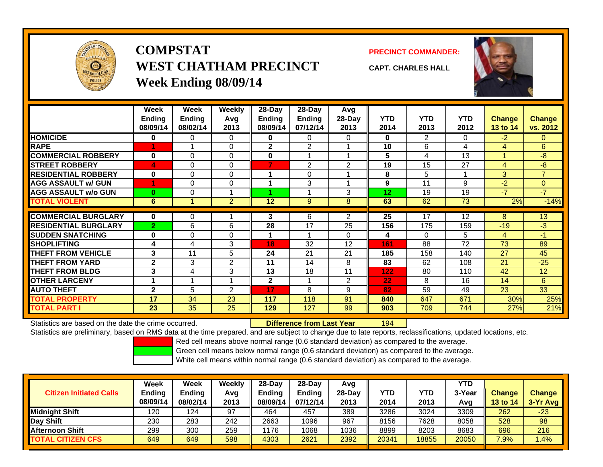

# **COMPSTATWEST CHATHAM PRECINCTWeek Ending 08/09/14**

**PRECINCT COMMANDER:**



**CAPT. CHARLES HALL**

|                             | Week<br><b>Ending</b><br>08/09/14 | Week<br>Ending<br>08/02/14 | Weekly<br>Avg<br>2013 | 28-Day<br>Ending<br>08/09/14 | $28-Day$<br><b>Ending</b><br>07/12/14 | Avg<br>$28-Day$<br>2013 | <b>YTD</b><br>2014 | <b>YTD</b><br>2013 | <b>YTD</b><br>2012 | <b>Change</b><br>13 to 14 | <b>Change</b><br>vs. 2012 |
|-----------------------------|-----------------------------------|----------------------------|-----------------------|------------------------------|---------------------------------------|-------------------------|--------------------|--------------------|--------------------|---------------------------|---------------------------|
| <b>HOMICIDE</b>             | 0                                 | 0                          | 0                     | $\mathbf{0}$                 | 0                                     | $\Omega$                | 0                  | 2                  | 0                  | $-2$                      | 0                         |
| <b>RAPE</b>                 |                                   |                            | $\Omega$              | $\mathbf{2}$                 | $\overline{2}$                        |                         | 10                 | 6                  | 4                  | 4                         | 6                         |
| <b>COMMERCIAL ROBBERY</b>   | $\bf{0}$                          | $\Omega$                   | $\Omega$              | $\bf{0}$                     |                                       |                         | 5                  | 4                  | 13                 | и                         | $-8$                      |
| <b>STREET ROBBERY</b>       | 4                                 | $\Omega$                   | $\Omega$              | 7                            | 2                                     | 2                       | 19                 | 15                 | 27                 | 4                         | $-8$                      |
| <b>RESIDENTIAL ROBBERY</b>  | $\bf{0}$                          | $\Omega$                   | $\Omega$              |                              | $\Omega$                              |                         | 8                  | 5                  |                    | 3                         | $\overline{7}$            |
| <b>AGG ASSAULT w/ GUN</b>   |                                   | $\Omega$                   | 0                     | 1                            | 3                                     |                         | 9                  | 11                 | 9                  | $-2$                      | $\mathbf{0}$              |
| <b>AGG ASSAULT w/o GUN</b>  | $\bf{0}$                          | $\Omega$                   |                       |                              |                                       | 3                       | 12 <sub>2</sub>    | 19                 | 19                 | $-7$                      | $-7$                      |
| <b>TOTAL VIOLENT</b>        | 6                                 | -4                         | $\overline{2}$        | 12                           | 9                                     | 8                       | 63                 | 62                 | 73                 | 2%                        | $-14%$                    |
|                             |                                   |                            |                       |                              |                                       |                         |                    |                    |                    |                           |                           |
| <b>COMMERCIAL BURGLARY</b>  | $\bf{0}$                          | $\Omega$                   |                       | 3                            | 6                                     | 2                       | 25                 | 17                 | 12                 | 8                         | 13                        |
| <b>RESIDENTIAL BURGLARY</b> | $\overline{2}$                    | 6                          | 6                     | 28                           | 17                                    | 25                      | 156                | 175                | 159                | $-19$                     | $-3$                      |
| <b>SUDDEN SNATCHING</b>     | $\bf{0}$                          | $\Omega$                   | $\Omega$              | 1                            |                                       | $\Omega$                | 4                  | $\Omega$           | 5                  | 4                         | $-1$                      |
| <b>SHOPLIFTING</b>          | 4                                 | 4                          | 3                     | 18                           | 32                                    | 12                      | 161                | 88                 | 72                 | 73                        | 89                        |
| <b>THEFT FROM VEHICLE</b>   | 3                                 | 11                         | 5                     | 24                           | 21                                    | 21                      | 185                | 158                | 140                | 27                        | 45                        |
| <b>THEFT FROM YARD</b>      | $\mathbf 2$                       | 3                          | 2                     | 11                           | 14                                    | 8                       | 83                 | 62                 | 108                | 21                        | $-25$                     |
| <b>THEFT FROM BLDG</b>      | 3                                 | 4                          | 3                     | 13                           | 18                                    | 11                      | 122                | 80                 | 110                | 42                        | 12                        |
| <b>OTHER LARCENY</b>        |                                   |                            |                       | $\mathbf{2}$                 |                                       | 2                       | 22                 | 8                  | 16                 | 14                        | 6                         |
| <b>AUTO THEFT</b>           | $\mathbf{2}$                      | 5                          | 2                     | 17                           | 8                                     | 9                       | 82                 | 59                 | 49                 | 23                        | 33                        |
| <b>TOTAL PROPERTY</b>       | 17                                | 34                         | 23                    | 117                          | 118                                   | 91                      | 840                | 647                | 671                | 30%                       | 25%                       |
| TOTAL PART I                | 23                                | 35                         | 25                    | 129                          | 127                                   | 99                      | 903                | 709                | 744                | 27%                       | 21%                       |

Statistics are based on the date the crime occurred. **Difference from Last Year** 

194

Statistics are preliminary, based on RMS data at the time prepared, and are subject to change due to late reports, reclassifications, updated locations, etc.

Red cell means above normal range (0.6 standard deviation) as compared to the average.

Green cell means below normal range (0.6 standard deviation) as compared to the average.

| <b>Citizen Initiated Calls</b> | Week<br><b>Ending</b><br>08/09/14 | <b>Week</b><br><b>Ending</b><br>08/02/14 | Weekly<br>Avg<br>2013 | $28-Day$<br><b>Ending</b><br>08/09/14 | 28-Dav<br><b>Ending</b><br>07/12/14 | Avg<br>28-Day<br>2013 | YTD<br>2014 | YTD<br>2013 | <b>YTD</b><br>3-Year<br>Avg | <b>Change</b><br>13 to 14 | <b>Change</b><br>3-Yr Avg |
|--------------------------------|-----------------------------------|------------------------------------------|-----------------------|---------------------------------------|-------------------------------------|-----------------------|-------------|-------------|-----------------------------|---------------------------|---------------------------|
| <b>Midnight Shift</b>          | 120                               | 124                                      | 97                    | 464                                   | 457                                 | 389                   | 3286        | 3024        | 3309                        | 262                       | $-23$                     |
| Day Shift                      | 230                               | 283                                      | 242                   | 2663                                  | 1096                                | 967                   | 8156        | 7628        | 8058                        | 528                       | 98                        |
| <b>Afternoon Shift</b>         | 299                               | 300                                      | 259                   | 1176                                  | 1068                                | 1036                  | 8899        | 8203        | 8683                        | 696                       | 216                       |
| <b>TOTAL CITIZEN CFS</b>       | 649                               | 649                                      | 598                   | 4303                                  | 2621                                | 2392                  | 20341       | 18855       | 20050                       | 7.9%                      | .4%                       |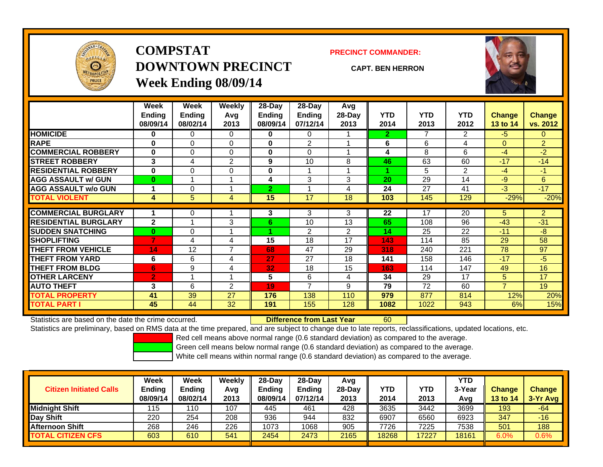

# **COMPSTATDOWNTOWN PRECINCTWeek Ending 08/09/14**

**PRECINCT COMMANDER:**

**CAPT. BEN HERRON**



|                             | Week<br><b>Ending</b><br>08/09/14 | Week<br><b>Ending</b><br>08/02/14 | Weekly<br>Avq<br>2013 | 28-Day<br><b>Ending</b><br>08/09/14 | 28-Day<br><b>Ending</b><br>07/12/14 | Avg<br>28-Day<br>2013 | <b>YTD</b><br>2014      | <b>YTD</b><br>2013 | <b>YTD</b><br>2012 | <b>Change</b><br>13 to 14 | <b>Change</b><br>vs. 2012 |
|-----------------------------|-----------------------------------|-----------------------------------|-----------------------|-------------------------------------|-------------------------------------|-----------------------|-------------------------|--------------------|--------------------|---------------------------|---------------------------|
| <b>HOMICIDE</b>             | 0                                 | $\Omega$                          | 0                     | 0                                   | 0                                   |                       | $\overline{\mathbf{2}}$ | $\overline{7}$     | $\overline{2}$     | $-5$                      | $\Omega$                  |
| <b>RAPE</b>                 | $\bf{0}$                          | $\Omega$                          | 0                     | $\bf{0}$                            | $\overline{2}$                      |                       | 6                       | 6                  | 4                  | $\Omega$                  | $\overline{2}$            |
| <b>COMMERCIAL ROBBERY</b>   | $\bf{0}$                          | 0                                 | 0                     | 0                                   | $\Omega$                            |                       | 4                       | 8                  | 6                  | $-4$                      | $-2$                      |
| <b>STREET ROBBERY</b>       | 3                                 | 4                                 | $\overline{2}$        | 9                                   | 10                                  | 8                     | 46                      | 63                 | 60                 | $-17$                     | $-14$                     |
| <b>RESIDENTIAL ROBBERY</b>  | $\bf{0}$                          | 0                                 | 0                     | 0                                   |                                     |                       |                         | 5                  | 2                  | $-4$                      | $-1$                      |
| <b>AGG ASSAULT w/ GUN</b>   | $\bf{0}$                          |                                   |                       | 4                                   | 3                                   | 3                     | 20                      | 29                 | 14                 | $-9$                      | 6                         |
| <b>AGG ASSAULT w/o GUN</b>  |                                   | $\Omega$                          |                       | $\overline{2}$                      |                                     | 4                     | 24                      | 27                 | 41                 | $-3$                      | $-17$                     |
| <b>TOTAL VIOLENT</b>        | 4                                 | 5                                 | 4                     | 15                                  | 17                                  | 18                    | 103                     | 145                | 129                | $-29%$                    | $-20%$                    |
|                             |                                   |                                   |                       |                                     |                                     |                       |                         |                    |                    |                           |                           |
| <b>COMMERCIAL BURGLARY</b>  |                                   | 0                                 |                       | 3                                   | 3                                   | 3                     | 22                      | 17                 | 20                 | 5                         | $\overline{2}$            |
| <b>RESIDENTIAL BURGLARY</b> | $\mathbf{2}$                      |                                   | 3                     | 6.                                  | 10                                  | 13                    | 65                      | 108                | 96                 | $-43$                     | $-31$                     |
| <b>SUDDEN SNATCHING</b>     | $\bf{0}$                          | $\Omega$                          |                       |                                     | 2                                   | $\overline{2}$        | 14                      | 25                 | 22                 | $-11$                     | $-8$                      |
| <b>SHOPLIFTING</b>          | 7                                 | 4                                 | 4                     | 15                                  | 18                                  | 17                    | 143                     | 114                | 85                 | 29                        | 58                        |
| <b>THEFT FROM VEHICLE</b>   | 14                                | 12                                | $\overline{ }$        | 68                                  | 47                                  | 29                    | 318                     | 240                | 221                | 78                        | 97                        |
| <b>THEFT FROM YARD</b>      | 6                                 | 6                                 | 4                     | 27                                  | 27                                  | 18                    | 141                     | 158                | 146                | $-17$                     | $-5$                      |
| <b>THEFT FROM BLDG</b>      | 6                                 | 9                                 | 4                     | 32                                  | 18                                  | 15                    | 163                     | 114                | 147                | 49                        | 16                        |
| <b>OTHER LARCENY</b>        | $\overline{2}$                    |                                   |                       | 5                                   | 6                                   | 4                     | 34                      | 29                 | 17                 | 5                         | 17                        |
| <b>AUTO THEFT</b>           | 3                                 | 6                                 | $\overline{2}$        | 19                                  | 7                                   | 9                     | 79                      | 72                 | 60                 | $\overline{7}$            | 19                        |
| <b>TOTAL PROPERTY</b>       | 41                                | 39                                | 27                    | 176                                 | 138                                 | 110                   | 979                     | 877                | 814                | 12%                       | 20%                       |
| <b>TOTAL PART I</b>         | 45                                | 44                                | 32                    | 191                                 | 155                                 | 128                   | 1082                    | 1022               | 943                | 6%                        | 15%                       |

Statistics are based on the date the crime occurred. **Difference from Last Year** 

Statistics are preliminary, based on RMS data at the time prepared, and are subject to change due to late reports, reclassifications, updated locations, etc.

60

Red cell means above normal range (0.6 standard deviation) as compared to the average.

Green cell means below normal range (0.6 standard deviation) as compared to the average.

| <b>Citizen Initiated Calls</b> | Week<br><b>Ending</b><br>08/09/14 | <b>Week</b><br>Ending<br>08/02/14 | Weekly<br>Avg<br>2013 | $28-Day$<br>Ending<br>08/09/14 | $28$ -Day<br><b>Ending</b><br>07/12/14 | Avg<br>28-Dav<br>2013 | YTD<br>2014 | <b>YTD</b><br>2013 | YTD<br>3-Year<br>Avg | <b>Change</b><br><b>13 to 14</b> | <b>Change</b><br>$3-Yr$ Avg |
|--------------------------------|-----------------------------------|-----------------------------------|-----------------------|--------------------------------|----------------------------------------|-----------------------|-------------|--------------------|----------------------|----------------------------------|-----------------------------|
| <b>Midnight Shift</b>          | 115                               | 110                               | 107                   | 445                            | 461                                    | 428                   | 3635        | 3442               | 3699                 | 193                              | -64                         |
| Day Shift                      | 220                               | 254                               | 208                   | 936                            | 944                                    | 832                   | 6907        | 6560               | 6923                 | 347                              | $-16$                       |
| <b>Afternoon Shift</b>         | 268                               | 246                               | 226                   | 1073                           | 1068                                   | 905                   | 7726        | 7225               | 7538                 | 501                              | 188                         |
| <b>TOTAL CITIZEN CFS</b>       | 603                               | 610                               | 541                   | 2454                           | 2473                                   | 2165                  | 18268       | 17227              | 8161                 | 6.0%                             | 0.6%                        |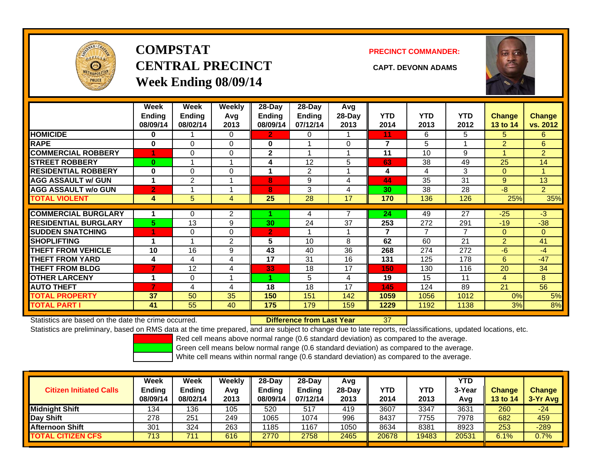

# **COMPSTATCENTRAL PRECINCT CAPT. DEVONN ADAMSWeek Ending 08/09/14**

**PRECINCT COMMANDER:**



|                             | Week<br><b>Ending</b><br>08/09/14 | Week<br><b>Ending</b><br>08/02/14 | <b>Weekly</b><br>Avq<br>2013 | 28-Day<br>Ending<br>08/09/14 | 28-Day<br><b>Ending</b><br>07/12/14 | Avg<br>28-Day<br>2013 | <b>YTD</b><br>2014 | <b>YTD</b><br>2013 | <b>YTD</b><br>2012 | <b>Change</b><br>13 to 14 | Change<br>vs. 2012 |
|-----------------------------|-----------------------------------|-----------------------------------|------------------------------|------------------------------|-------------------------------------|-----------------------|--------------------|--------------------|--------------------|---------------------------|--------------------|
| <b>HOMICIDE</b>             | 0                                 |                                   | 0                            | $\mathbf{2}$                 | 0                                   |                       | 11                 | 6                  | 5                  | 5                         | 6.                 |
| <b>RAPE</b>                 | 0                                 | 0                                 | $\Omega$                     | $\bf{0}$                     |                                     | 0                     | 7                  | 5                  |                    | $\overline{2}$            | 6                  |
| <b>COMMERCIAL ROBBERY</b>   |                                   | 0                                 | 0                            | $\mathbf{2}$                 |                                     |                       | 11                 | 10                 | 9                  |                           | $\overline{2}$     |
| <b>STREET ROBBERY</b>       | $\bf{0}$                          |                                   |                              | 4                            | 12                                  | 5                     | 63                 | 38                 | 49                 | 25                        | 14                 |
| <b>RESIDENTIAL ROBBERY</b>  | $\bf{0}$                          | 0                                 | 0                            |                              | 2                                   |                       | 4                  | $\overline{4}$     | 3                  | $\mathbf{0}$              |                    |
| <b>AGG ASSAULT w/ GUN</b>   | 1                                 | 2                                 |                              | 8                            | 9                                   | 4                     | 44                 | 35                 | 31                 | 9                         | 13                 |
| <b>AGG ASSAULT w/o GUN</b>  | $\overline{2}$                    |                                   |                              | 8                            | 3                                   | 4                     | 30                 | 38                 | 28                 | $-8$                      | $\overline{2}$     |
| <b>TOTAL VIOLENT</b>        | 4                                 | 5                                 | 4                            | 25                           | 28                                  | 17                    | 170                | 136                | 126                | 25%                       | 35%                |
|                             |                                   |                                   |                              |                              |                                     |                       |                    |                    |                    |                           |                    |
| <b>COMMERCIAL BURGLARY</b>  | 1                                 | 0                                 | 2                            |                              | 4                                   |                       | 24                 | 49                 | 27                 | $-25$                     | $-3$               |
| <b>RESIDENTIAL BURGLARY</b> | 5                                 | 13                                | 9                            | 30                           | 24                                  | 37                    | 253                | 272                | 291                | $-19$                     | $-38$              |
| <b>ISUDDEN SNATCHING</b>    |                                   | 0                                 | 0                            | $\mathbf{2}$                 |                                     |                       | 7                  | 7                  | 7                  | $\Omega$                  | $\overline{0}$     |
| <b>SHOPLIFTING</b>          | 1                                 |                                   | 2                            | 5                            | 10                                  | 8                     | 62                 | 60                 | 21                 | $\overline{2}$            | 41                 |
| <b>THEFT FROM VEHICLE</b>   | 10                                | 16                                | 9                            | 43                           | 40                                  | 36                    | 268                | 274                | 272                | $-6$                      | $-4$               |
| <b>THEFT FROM YARD</b>      | 4                                 | 4                                 | 4                            | 17                           | 31                                  | 16                    | 131                | 125                | 178                | 6                         | $-47$              |
| <b>THEFT FROM BLDG</b>      |                                   | 12                                | 4                            | 33                           | 18                                  | 17                    | 150                | 130                | 116                | 20                        | 34                 |
| <b>OTHER LARCENY</b>        | 1                                 | 0                                 |                              |                              | 5                                   | 4                     | 19                 | 15                 | 11                 | 4                         | 8                  |
| <b>AUTO THEFT</b>           | 7                                 | 4                                 | 4                            | 18                           | 18                                  | 17                    | 145                | 124                | 89                 | 21                        | 56                 |
| <b>TOTAL PROPERTY</b>       | 37                                | 50                                | 35                           | 150                          | 151                                 | 142                   | 1059               | 1056               | 1012               | 0%                        | 5%                 |
| <b>TOTAL PART I</b>         | 41                                | 55                                | 40                           | 175                          | 179                                 | 159                   | 1229               | 1192               | 1138               | 3%                        | 8%                 |

Statistics are based on the date the crime occurred. **Difference from Last Year** 

37

Statistics are preliminary, based on RMS data at the time prepared, and are subject to change due to late reports, reclassifications, updated locations, etc.

Red cell means above normal range (0.6 standard deviation) as compared to the average.

Green cell means below normal range (0.6 standard deviation) as compared to the average.

| <b>Citizen Initiated Calls</b> | Week<br><b>Ending</b><br>08/09/14 | Week<br><b>Ending</b><br>08/02/14 | Weekly<br>Avg<br>2013 | $28-Day$<br><b>Ending</b><br>08/09/14 | 28-Dav<br><b>Ending</b><br>07/12/14 | Avg<br>$28-Dav$<br>2013 | YTD<br>2014 | YTD<br>2013 | <b>YTD</b><br>3-Year<br>Avg | <b>Change</b><br>13 to 14 | <b>Change</b><br>3-Yr Avg |
|--------------------------------|-----------------------------------|-----------------------------------|-----------------------|---------------------------------------|-------------------------------------|-------------------------|-------------|-------------|-----------------------------|---------------------------|---------------------------|
| <b>Midnight Shift</b>          | 134                               | 136                               | 105                   | 520                                   | 517                                 | 419                     | 3607        | 3347        | 3631                        | 260                       | $-24$                     |
| Day Shift                      | 278                               | 251                               | 249                   | 1065                                  | 1074                                | 996                     | 8437        | 7755        | 7978                        | 682                       | 459                       |
| <b>Afternoon Shift</b>         | 301                               | 324                               | 263                   | 1185                                  | 1167                                | 1050                    | 8634        | 8381        | 8923                        | 253                       | $-289$                    |
| <b>TOTAL CITIZEN CFS</b>       | 713                               | 74.                               | 616                   | 2770                                  | 2758                                | 2465                    | 20678       | 19483       | 20531                       | 6.1%                      | $0.7\%$                   |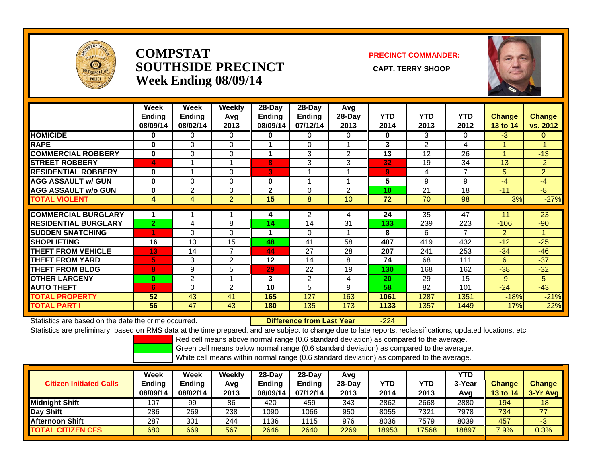

#### **COMPSTATSOUTHSIDE PRECINCT** CAPT. TERRY SHOOP **Week Ending 08/09/14**

#### **PRECINCT COMMANDER:**



|                             | Week<br><b>Ending</b><br>08/09/14 | Week<br><b>Ending</b><br>08/02/14 | Weekly<br>Avg<br>2013 | 28-Day<br><b>Ending</b><br>08/09/14 | 28-Day<br><b>Ending</b><br>07/12/14 | Avg<br>28-Day<br>2013 | <b>YTD</b><br>2014 | <b>YTD</b><br>2013 | <b>YTD</b><br>2012 | <b>Change</b><br>13 to 14 | <b>Change</b><br>vs. 2012 |
|-----------------------------|-----------------------------------|-----------------------------------|-----------------------|-------------------------------------|-------------------------------------|-----------------------|--------------------|--------------------|--------------------|---------------------------|---------------------------|
| <b>HOMICIDE</b>             | $\bf{0}$                          | $\mathbf{0}$                      | 0                     | $\bf{0}$                            | 0                                   | $\Omega$              | 0                  | 3                  | 0                  | $-3$                      | $\mathbf{0}$              |
| <b>RAPE</b>                 | $\bf{0}$                          | $\Omega$                          | 0                     |                                     | $\Omega$                            |                       | 3                  | $\overline{2}$     | 4                  |                           | $-11$                     |
| <b>COMMERCIAL ROBBERY</b>   | $\bf{0}$                          | $\Omega$                          | $\Omega$              |                                     | 3                                   | 2                     | 13                 | 12                 | 26                 |                           | $-13$                     |
| <b>STREET ROBBERY</b>       | 4                                 |                                   |                       | 8                                   | 3                                   | 3                     | 32                 | 19                 | 34                 | 13                        | $-2$                      |
| <b>RESIDENTIAL ROBBERY</b>  | 0                                 |                                   | 0                     | 3                                   |                                     |                       | 9                  | 4                  | 7                  | 5                         | $\overline{2}$            |
| <b>AGG ASSAULT w/ GUN</b>   | $\bf{0}$                          | $\Omega$                          | 0                     | 0                                   |                                     |                       | 5                  | 9                  | 9                  | $-4$                      | -4                        |
| <b>AGG ASSAULT w/o GUN</b>  | $\bf{0}$                          | 2                                 | 0                     | $\mathbf 2$                         | $\Omega$                            | $\overline{2}$        | 10 <sub>1</sub>    | 21                 | 18                 | $-11$                     | $-8$                      |
| <b>TOTAL VIOLENT</b>        | 4                                 | 4                                 | $\overline{2}$        | 15                                  | 8                                   | 10                    | 72                 | 70                 | 98                 | 3%                        | $-27%$                    |
|                             |                                   |                                   |                       |                                     |                                     |                       |                    |                    |                    |                           |                           |
| <b>COMMERCIAL BURGLARY</b>  |                                   |                                   |                       | 4                                   | $\overline{2}$                      | 4                     | 24                 | 35                 | 47                 | $-11$                     | $-23$                     |
| <b>RESIDENTIAL BURGLARY</b> | $\overline{2}$                    | 4                                 | 8                     | 14                                  | 14                                  | 31                    | 133                | 239                | 223                | $-106$                    | $-90$                     |
| <b>SUDDEN SNATCHING</b>     | и                                 | $\Omega$                          | 0                     | 4                                   | $\Omega$                            |                       | 8                  | 6                  | 7                  | $\overline{2}$            |                           |
| <b>SHOPLIFTING</b>          | 16                                | 10                                | 15                    | 48                                  | 41                                  | 58                    | 407                | 419                | 432                | $-12$                     | $-25$                     |
| <b>THEFT FROM VEHICLE</b>   | 13                                | 14                                | 7                     | 44                                  | 27                                  | 28                    | 207                | 241                | 253                | $-34$                     | $-46$                     |
| <b>THEFT FROM YARD</b>      | 5                                 | 3                                 | $\overline{2}$        | 12                                  | 14                                  | 8                     | 74                 | 68                 | 111                | 6                         | $-37$                     |
| <b>THEFT FROM BLDG</b>      | 8                                 | 9                                 | 5                     | 29                                  | 22                                  | 19                    | 130                | 168                | 162                | $-38$                     | $-32$                     |
| <b>OTHER LARCENY</b>        | $\bf{0}$                          | 2                                 |                       | 3                                   | $\overline{2}$                      | 4                     | 20                 | 29                 | 15                 | -9                        | 5                         |
| <b>AUTO THEFT</b>           | 6                                 | $\Omega$                          | $\overline{2}$        | 10                                  | 5                                   | 9                     | 58                 | 82                 | 101                | $-24$                     | $-43$                     |
| <b>TOTAL PROPERTY</b>       | 52                                | 43                                | 41                    | 165                                 | 127                                 | 163                   | 1061               | 1287               | 1351               | $-18%$                    | $-21%$                    |
| <b>TOTAL PART I</b>         | 56                                | 47                                | 43                    | 180                                 | 135                                 | 173                   | 1133               | 1357               | 1449               | $-17%$                    | $-22%$                    |

Statistics are based on the date the crime occurred. **Difference from Last Year** 

-224

Statistics are preliminary, based on RMS data at the time prepared, and are subject to change due to late reports, reclassifications, updated locations, etc.

Red cell means above normal range (0.6 standard deviation) as compared to the average.

Green cell means below normal range (0.6 standard deviation) as compared to the average.

| <b>Citizen Initiated Calls</b> | Week<br>Ending<br>08/09/14 | Week<br><b>Ending</b><br>08/02/14 | Weekly<br>Avg<br>2013 | $28-Dav$<br>Ending<br>08/09/14 | 28-Dav<br><b>Ending</b><br>07/12/14 | Avg<br>$28-Dav$<br>2013 | YTD<br>2014 | YTD<br>2013 | YTD<br>3-Year<br>Avg | <b>Change</b><br>13 to 14 | <b>Change</b><br>3-Yr Avg |
|--------------------------------|----------------------------|-----------------------------------|-----------------------|--------------------------------|-------------------------------------|-------------------------|-------------|-------------|----------------------|---------------------------|---------------------------|
| Midniaht Shift                 | 107                        | 99                                | 86                    | 420                            | 459                                 | 343                     | 2862        | 2668        | 2880                 | 194                       | $-18$                     |
| Day Shift                      | 286                        | 269                               | 238                   | 1090                           | 1066                                | 950                     | 8055        | 7321        | 7978                 | 734                       | 77                        |
| <b>Afternoon Shift</b>         | 287                        | 30 <sup>1</sup>                   | 244                   | 1136                           | 115                                 | 976                     | 8036        | 7579        | 8039                 | 457                       | -3                        |
| <b>TOTAL CITIZEN CFS</b>       | 680                        | 669                               | 567                   | 2646                           | 2640                                | 2269                    | 18953       | 17568       | 18897                | 7.9%                      | 0.3%                      |